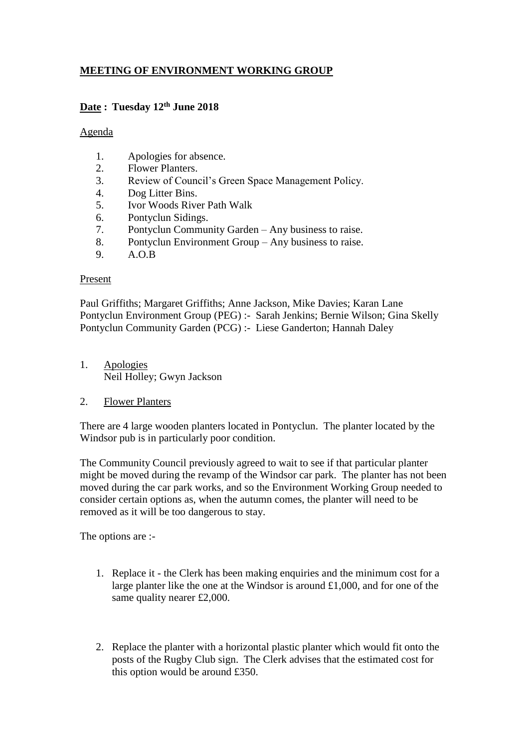# **MEETING OF ENVIRONMENT WORKING GROUP**

### **Date : Tuesday 12th June 2018**

#### Agenda

- 1. Apologies for absence.
- 2. Flower Planters.
- 3. Review of Council's Green Space Management Policy.
- 4. Dog Litter Bins.
- 5. Ivor Woods River Path Walk
- 6. Pontyclun Sidings.
- 7. Pontyclun Community Garden Any business to raise.
- 8. Pontyclun Environment Group Any business to raise.
- 9. A.O.B

#### Present

Paul Griffiths; Margaret Griffiths; Anne Jackson, Mike Davies; Karan Lane Pontyclun Environment Group (PEG) :- Sarah Jenkins; Bernie Wilson; Gina Skelly Pontyclun Community Garden (PCG) :- Liese Ganderton; Hannah Daley

- 1. Apologies Neil Holley; Gwyn Jackson
- 2. Flower Planters

There are 4 large wooden planters located in Pontyclun. The planter located by the Windsor pub is in particularly poor condition.

The Community Council previously agreed to wait to see if that particular planter might be moved during the revamp of the Windsor car park. The planter has not been moved during the car park works, and so the Environment Working Group needed to consider certain options as, when the autumn comes, the planter will need to be removed as it will be too dangerous to stay.

The options are :-

- 1. Replace it the Clerk has been making enquiries and the minimum cost for a large planter like the one at the Windsor is around £1,000, and for one of the same quality nearer £2,000.
- 2. Replace the planter with a horizontal plastic planter which would fit onto the posts of the Rugby Club sign. The Clerk advises that the estimated cost for this option would be around £350.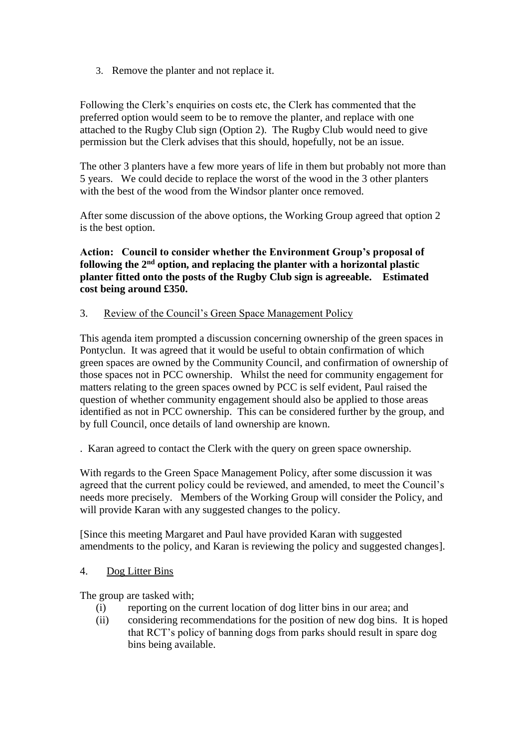3. Remove the planter and not replace it.

Following the Clerk's enquiries on costs etc, the Clerk has commented that the preferred option would seem to be to remove the planter, and replace with one attached to the Rugby Club sign (Option 2). The Rugby Club would need to give permission but the Clerk advises that this should, hopefully, not be an issue.

The other 3 planters have a few more years of life in them but probably not more than 5 years. We could decide to replace the worst of the wood in the 3 other planters with the best of the wood from the Windsor planter once removed.

After some discussion of the above options, the Working Group agreed that option 2 is the best option.

**Action: Council to consider whether the Environment Group's proposal of following the 2nd option, and replacing the planter with a horizontal plastic planter fitted onto the posts of the Rugby Club sign is agreeable. Estimated cost being around £350.**

#### 3. Review of the Council's Green Space Management Policy

This agenda item prompted a discussion concerning ownership of the green spaces in Pontyclun. It was agreed that it would be useful to obtain confirmation of which green spaces are owned by the Community Council, and confirmation of ownership of those spaces not in PCC ownership. Whilst the need for community engagement for matters relating to the green spaces owned by PCC is self evident, Paul raised the question of whether community engagement should also be applied to those areas identified as not in PCC ownership. This can be considered further by the group, and by full Council, once details of land ownership are known.

. Karan agreed to contact the Clerk with the query on green space ownership.

With regards to the Green Space Management Policy, after some discussion it was agreed that the current policy could be reviewed, and amended, to meet the Council's needs more precisely. Members of the Working Group will consider the Policy, and will provide Karan with any suggested changes to the policy.

[Since this meeting Margaret and Paul have provided Karan with suggested amendments to the policy, and Karan is reviewing the policy and suggested changes].

#### 4. Dog Litter Bins

The group are tasked with;

- (i) reporting on the current location of dog litter bins in our area; and
- (ii) considering recommendations for the position of new dog bins. It is hoped that RCT's policy of banning dogs from parks should result in spare dog bins being available.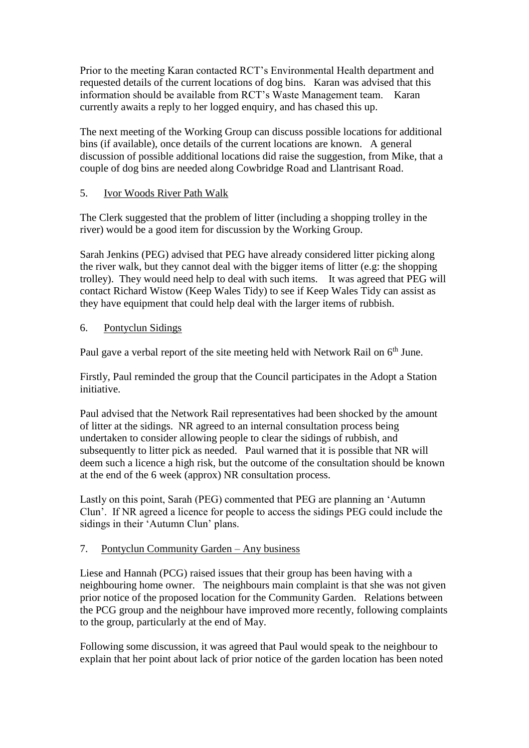Prior to the meeting Karan contacted RCT's Environmental Health department and requested details of the current locations of dog bins. Karan was advised that this information should be available from RCT's Waste Management team. Karan currently awaits a reply to her logged enquiry, and has chased this up.

The next meeting of the Working Group can discuss possible locations for additional bins (if available), once details of the current locations are known. A general discussion of possible additional locations did raise the suggestion, from Mike, that a couple of dog bins are needed along Cowbridge Road and Llantrisant Road.

### 5. Ivor Woods River Path Walk

The Clerk suggested that the problem of litter (including a shopping trolley in the river) would be a good item for discussion by the Working Group.

Sarah Jenkins (PEG) advised that PEG have already considered litter picking along the river walk, but they cannot deal with the bigger items of litter (e.g: the shopping trolley). They would need help to deal with such items. It was agreed that PEG will contact Richard Wistow (Keep Wales Tidy) to see if Keep Wales Tidy can assist as they have equipment that could help deal with the larger items of rubbish.

#### 6. Pontyclun Sidings

Paul gave a verbal report of the site meeting held with Network Rail on 6<sup>th</sup> June.

Firstly, Paul reminded the group that the Council participates in the Adopt a Station initiative.

Paul advised that the Network Rail representatives had been shocked by the amount of litter at the sidings. NR agreed to an internal consultation process being undertaken to consider allowing people to clear the sidings of rubbish, and subsequently to litter pick as needed. Paul warned that it is possible that NR will deem such a licence a high risk, but the outcome of the consultation should be known at the end of the 6 week (approx) NR consultation process.

Lastly on this point, Sarah (PEG) commented that PEG are planning an 'Autumn Clun'. If NR agreed a licence for people to access the sidings PEG could include the sidings in their 'Autumn Clun' plans.

### 7. Pontyclun Community Garden – Any business

Liese and Hannah (PCG) raised issues that their group has been having with a neighbouring home owner. The neighbours main complaint is that she was not given prior notice of the proposed location for the Community Garden. Relations between the PCG group and the neighbour have improved more recently, following complaints to the group, particularly at the end of May.

Following some discussion, it was agreed that Paul would speak to the neighbour to explain that her point about lack of prior notice of the garden location has been noted